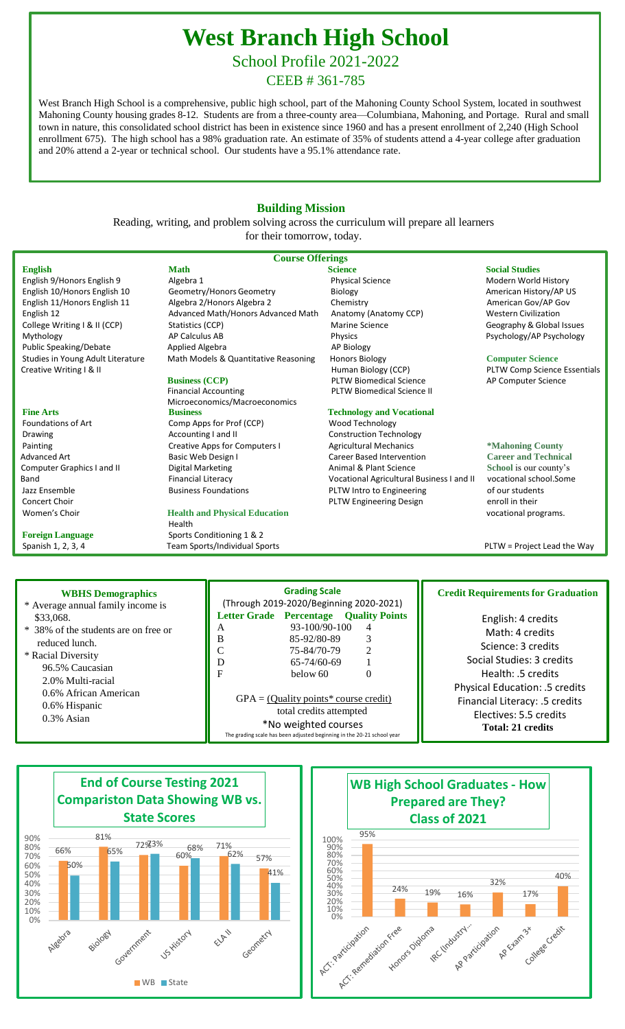## **West Branch High School**

School Profile 2021-2022

CEEB # 361-785

West Branch High School is a comprehensive, public high school, part of the Mahoning County School System, located in southwest Mahoning County housing grades 8-12. Students are from a three-county area—Columbiana, Mahoning, and Portage. Rural and small town in nature, this consolidated school district has been in existence since 1960 and has a present enrollment of 2,240 (High School enrollment 675). The high school has a 98% graduation rate. An estimate of 35% of students attend a 4-year college after graduation and 20% attend a 2-year or technical school. Our students have a 95.1% attendance rate.

## **Building Mission**

Reading, writing, and problem solving across the curriculum will prepare all learners for their tomorrow, today.

## **Course Offerings**

**English Math Science Social Studies** Public Speaking/Debate Applied Algebra

Women's Choir **Health and Physical Education Health and Physical Education Vocational programs.** 

## English 9/Honors English 9 **Algebra 1** Algebra 1 **Algebra 1 Physical Science** Modern World History English 10/Honors English 10 Geometry/Honors Geometry Biology Biology Communical History/AP US<br>
English 11/Honors English 11 Algebra 2/Honors Algebra 2 Chemistry Chemistry American Gov/AP Gov English 11/Honors English 11 Algebra 2/Honors Algebra 2 Chemistry English 12 Advanced Math/Honors Advanced Math Anatomy (Anatomy CCP) Western Civilization College Writing I & II (CCP) Statistics (CCP) Statistics (CCP) Marine Science Science Geography & Global Issues Mythology **AP Calculus AB** Physics Physics Physics Physics Paychology/AP Psychology<br>
Public Speaking/Debate Applied Algebra **AP Ricky AP Biology** Studies in Young Adult Literature Math Models & Quantitative Reasoning Honors Biology **Computer Science**

Financial Accounting **PLTW Biomedical Science II**  Microeconomics/Macroeconomics **Fine Arts Europhysis Business**<br> **Fine Arts Example 20 Example 20 Arts Example 20 Arts Comp Apps for Prof (CCP) COMP Wood Technology** Comp Apps for Prof (CCP) Wood Technology Drawing **Accounting I and II** Construction Technology **Construction** Technology

Health **Foreign Language 5ports Conditioning 1 & 2** Spanish 1, 2, 3, 4 Team Sports/Individual Sports PLTW = Project Lead the Way

Creative Writing I & II **Business (CCP)** Human Biology (CCP) PLTW Comp Science Essentials<br>PLTW Biomedical Science **PLTW Biomedical Science** AP Computer Science **PLTW Biomedical Science** 

Painting **Example 20 Transform Creative Apps for Computers I** Agricultural Mechanics **\*Mahoning County** Advanced Art **Art Career Basic Web Design I** Career Based Intervention **Career and Technical** Computer Graphics I and II **Digital Marketing Animal & Plant Science Animal & Plant Science School** is our county's Band Financial Literacy **Financial Literacy** Vocational Agricultural Business I and II vocational school.Some Jazz Ensemble Susiness Foundations Pure PLTW Intro to Engineering of our students of our students of our students of our students Concert Choir enroll in their PLTW Engineering Design

| <b>WBHS Demographics</b><br>* Average annual family income is                                                                                                                                | <b>Grading Scale</b><br>(Through 2019-2020/Beginning 2020-2021)                                                                                                                                                                                                                                                                                                                    | <b>Credit Requirements for Graduation</b>                                                                                                                                                                                               |
|----------------------------------------------------------------------------------------------------------------------------------------------------------------------------------------------|------------------------------------------------------------------------------------------------------------------------------------------------------------------------------------------------------------------------------------------------------------------------------------------------------------------------------------------------------------------------------------|-----------------------------------------------------------------------------------------------------------------------------------------------------------------------------------------------------------------------------------------|
| \$33,068.<br>* 38% of the students are on free or<br>reduced lunch.<br>* Racial Diversity<br>96.5% Caucasian<br>2.0% Multi-racial<br>0.6% African American<br>0.6% Hispanic<br>$0.3\%$ Asian | <b>Letter Grade Percentage Quality Points</b><br>$93 - 100/90 - 100$<br>4<br>A<br>B<br>3<br>85-92/80-89<br>75-84/70-79<br>$\mathfrak{D}$<br>D<br>$65 - 74/60 - 69$<br>$\mathbf F$<br>below 60<br>$\Omega$<br>$GPA = (Quality points * course credit)$<br>total credits attempted<br>*No weighted courses<br>The grading scale has been adjusted beginning in the 20-21 school year | English: 4 credits<br>Math: 4 credits<br>Science: 3 credits<br>Social Studies: 3 credits<br>Health: 5 credits<br><b>Physical Education: .5 credits</b><br>Financial Literacy: .5 credits<br>Electives: 5.5 credits<br>Total: 21 credits |